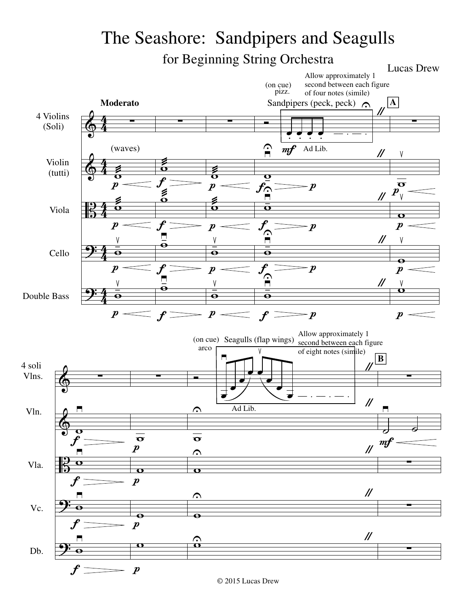## The Seashore: Sandpipers and Seagulls for Beginning String Orchestra